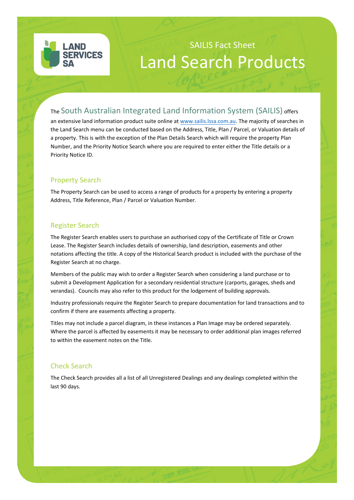

# SAILIS Fact Sheet Land Search Products

## The South Australian Integrated Land Information System (SAILIS) offers

an extensive land information product suite online at www.sailis.lssa.com.au. The majority of searches in the Land Search menu can be conducted based on the Address, Title, Plan / Parcel, or Valuation details of a property. This is with the exception of the Plan Details Search which will require the property Plan Number, and the Priority Notice Search where you are required to enter either the Title details or a Priority Notice ID.

#### Property Search

The Property Search can be used to access a range of products for a property by entering a property Address, Title Reference, Plan / Parcel or Valuation Number.

#### Register Search

The Register Search enables users to purchase an authorised copy of the Certificate of Title or Crown Lease. The Register Search includes details of ownership, land description, easements and other notations affecting the title. A copy of the Historical Search product is included with the purchase of the Register Search at no charge.

Members of the public may wish to order a Register Search when considering a land purchase or to submit a Development Application for a secondary residential structure (carports, garages, sheds and verandas). Councils may also refer to this product for the lodgement of building approvals.

Industry professionals require the Register Search to prepare documentation for land transactions and to confirm if there are easements affecting a property.

Titles may not include a parcel diagram, in these instances a Plan Image may be ordered separately. Where the parcel is affected by easements it may be necessary to order additional plan images referred to within the easement notes on the Title.

#### Check Search

The Check Search provides all a list of all Unregistered Dealings and any dealings completed within the last 90 days.